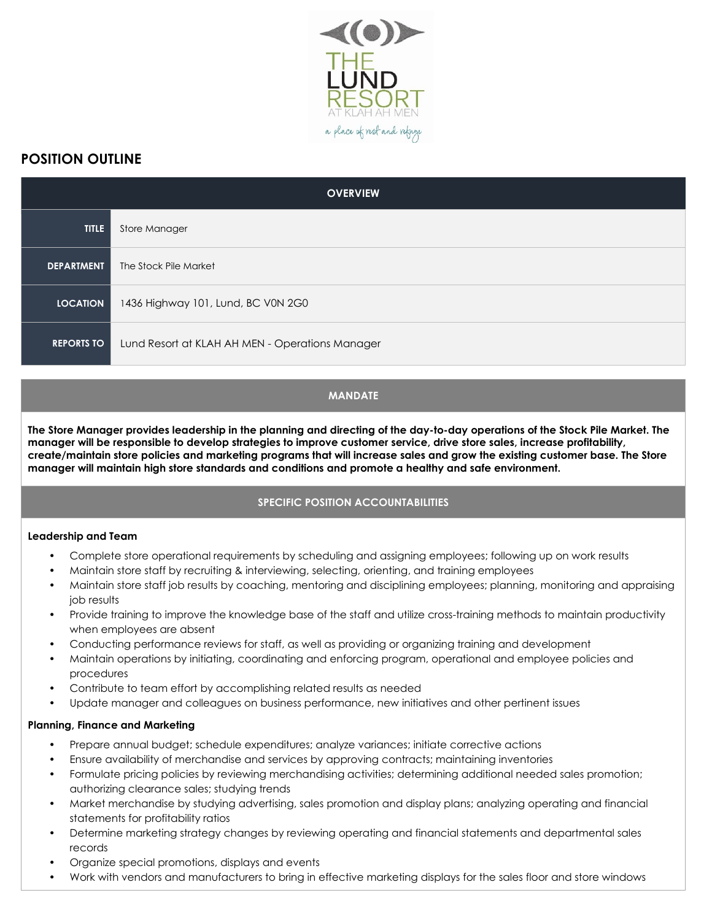

# **POSITION OUTLINE**

| <b>OVERVIEW</b>   |                                                 |
|-------------------|-------------------------------------------------|
| <b>TITLE</b>      | Store Manager                                   |
| <b>DEPARTMENT</b> | The Stock Pile Market                           |
| <b>LOCATION</b>   | 1436 Highway 101, Lund, BC V0N 2G0              |
| <b>REPORTS TO</b> | Lund Resort at KLAH AH MEN - Operations Manager |

## **MANDATE**

**The Store Manager provides leadership in the planning and directing of the day-to-day operations of the Stock Pile Market. The manager will be responsible to develop strategies to improve customer service, drive store sales, increase profitability, create/maintain store policies and marketing programs that will increase sales and grow the existing customer base. The Store manager will maintain high store standards and conditions and promote a healthy and safe environment.**

## **SPECIFIC POSITION ACCOUNTABILITIES**

#### **Leadership and Team**

- Complete store operational requirements by scheduling and assigning employees; following up on work results
- Maintain store staff by recruiting & interviewing, selecting, orienting, and training employees
- Maintain store staff job results by coaching, mentoring and disciplining employees; planning, monitoring and appraising job results
- Provide training to improve the knowledge base of the staff and utilize cross-training methods to maintain productivity when employees are absent
- Conducting performance reviews for staff, as well as providing or organizing training and development
- Maintain operations by initiating, coordinating and enforcing program, operational and employee policies and procedures
- Contribute to team effort by accomplishing related results as needed
- Update manager and colleagues on business performance, new initiatives and other pertinent issues

## **Planning, Finance and Marketing**

- Prepare annual budget; schedule expenditures; analyze variances; initiate corrective actions
- Ensure availability of merchandise and services by approving contracts; maintaining inventories
- Formulate pricing policies by reviewing merchandising activities; determining additional needed sales promotion; authorizing clearance sales; studying trends
- Market merchandise by studying advertising, sales promotion and display plans; analyzing operating and financial statements for profitability ratios
- Determine marketing strategy changes by reviewing operating and financial statements and departmental sales records
- Organize special promotions, displays and events
- Work with vendors and manufacturers to bring in effective marketing displays for the sales floor and store windows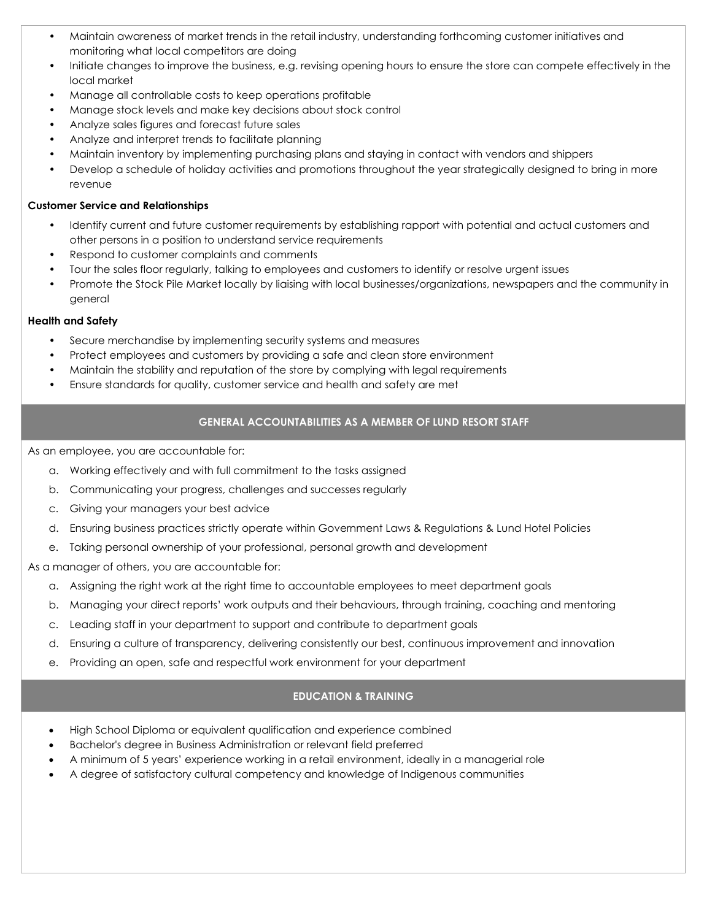- Maintain awareness of market trends in the retail industry, understanding forthcoming customer initiatives and monitoring what local competitors are doing
- Initiate changes to improve the business, e.g. revising opening hours to ensure the store can compete effectively in the local market
- Manage all controllable costs to keep operations profitable
- Manage stock levels and make key decisions about stock control
- Analyze sales figures and forecast future sales
- Analyze and interpret trends to facilitate planning
- Maintain inventory by implementing purchasing plans and staying in contact with vendors and shippers
- Develop a schedule of holiday activities and promotions throughout the year strategically designed to bring in more revenue

#### **Customer Service and Relationships**

- Identify current and future customer requirements by establishing rapport with potential and actual customers and other persons in a position to understand service requirements
- Respond to customer complaints and comments
- Tour the sales floor regularly, talking to employees and customers to identify or resolve urgent issues
- Promote the Stock Pile Market locally by liaising with local businesses/organizations, newspapers and the community in general

#### **Health and Safety**

- Secure merchandise by implementing security systems and measures
- Protect employees and customers by providing a safe and clean store environment
- Maintain the stability and reputation of the store by complying with legal requirements
- Ensure standards for quality, customer service and health and safety are met

# **GENERAL ACCOUNTABILITIES AS A MEMBER OF LUND RESORT STAFF**

As an employee, you are accountable for:

- a. Working effectively and with full commitment to the tasks assigned
- b. Communicating your progress, challenges and successes regularly
- c. Giving your managers your best advice
- d. Ensuring business practices strictly operate within Government Laws & Regulations & Lund Hotel Policies
- e. Taking personal ownership of your professional, personal growth and development

As a manager of others, you are accountable for:

- a. Assigning the right work at the right time to accountable employees to meet department goals
- b. Managing your direct reports' work outputs and their behaviours, through training, coaching and mentoring
- c. Leading staff in your department to support and contribute to department goals
- d. Ensuring a culture of transparency, delivering consistently our best, continuous improvement and innovation
- e. Providing an open, safe and respectful work environment for your department

## **EDUCATION & TRAINING**

- High School Diploma or equivalent qualification and experience combined
- Bachelor's degree in Business Administration or relevant field preferred
- A minimum of 5 years' experience working in a retail environment, ideally in a managerial role
- A degree of satisfactory cultural competency and knowledge of Indigenous communities